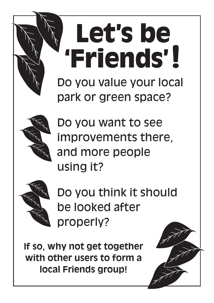# Do you value your local park or green space? **Let's be 'Friends'!**



Do you want to see improvements there, and more people using it?



Do you think it should be looked after properly?

**If so, why not get together with other users to form a local Friends group!**